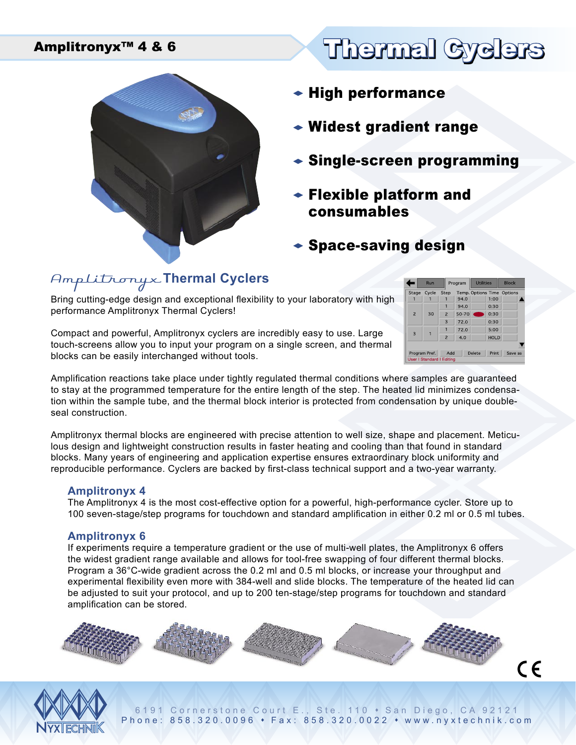

# Amplitronyx™ 4 & 6 Thermal Cyclers

- $\bullet$  High performance
- $\bullet$  Widest gradient range
- $\triangle$  Single-screen programming
- $\bullet$  Flexible platform and consumables
- $\bullet$  Space-saving design

## Amplitronyx **Thermal Cyclers**

Bring cutting-edge design and exceptional flexibility to your laboratory with high performance Amplitronyx Thermal Cyclers!

Compact and powerful, Amplitronyx cyclers are incredibly easy to use. Large touch-screens allow you to input your program on a single screen, and thermal blocks can be easily interchanged without tools.

|  |                                  | Run           |                          | Program | <b>Utilities</b> |             | <b>Block</b>              |  |
|--|----------------------------------|---------------|--------------------------|---------|------------------|-------------|---------------------------|--|
|  | Stage                            | Cycle         | Step                     |         |                  |             | Temp Options Time Options |  |
|  |                                  |               |                          | 94.0    |                  | 1:00        |                           |  |
|  | $\overline{2}$                   | 30            |                          | 94.0    |                  | 0:30        |                           |  |
|  |                                  |               | $\overline{\phantom{0}}$ | 50-70   |                  | 0:30        |                           |  |
|  |                                  |               | 3                        | 72.0    |                  | 0:30        |                           |  |
|  | $\overline{3}$                   |               |                          | 72.0    |                  | 5:00        |                           |  |
|  |                                  |               | $\overline{\phantom{0}}$ | 4.0     |                  | <b>HOLD</b> |                           |  |
|  |                                  |               |                          |         |                  |             |                           |  |
|  |                                  | Program Pref. | Add                      |         | Delete           | Print       | Save as                   |  |
|  | <b>User   Standard   Editing</b> |               |                          |         |                  |             |                           |  |

Amplification reactions take place under tightly regulated thermal conditions where samples are guaranteed to stay at the programmed temperature for the entire length of the step. The heated lid minimizes condensation within the sample tube, and the thermal block interior is protected from condensation by unique doubleseal construction.

Amplitronyx thermal blocks are engineered with precise attention to well size, shape and placement. Meticulous design and lightweight construction results in faster heating and cooling than that found in standard blocks. Many years of engineering and application expertise ensures extraordinary block uniformity and reproducible performance. Cyclers are backed by first-class technical support and a two-year warranty.

#### **Amplitronyx 4**

The Amplitronyx 4 is the most cost-effective option for a powerful, high-performance cycler. Store up to 100 seven-stage/step programs for touchdown and standard amplification in either 0.2 ml or 0.5 ml tubes.

#### **Amplitronyx 6**

If experiments require a temperature gradient or the use of multi-well plates, the Amplitronyx 6 offers the widest gradient range available and allows for tool-free swapping of four different thermal blocks. Program a 36°C-wide gradient across the 0.2 ml and 0.5 ml blocks, or increase your throughput and experimental flexibility even more with 384-well and slide blocks. The temperature of the heated lid can be adjusted to suit your protocol, and up to 200 ten-stage/step programs for touchdown and standard amplification can be stored.





6191 Cornerstone Court E., Ste. 110 • San Diego, CA 92121 Phone: 858.320.0096 • Fax: 858.320.0022 • www.nyxtechnik.com